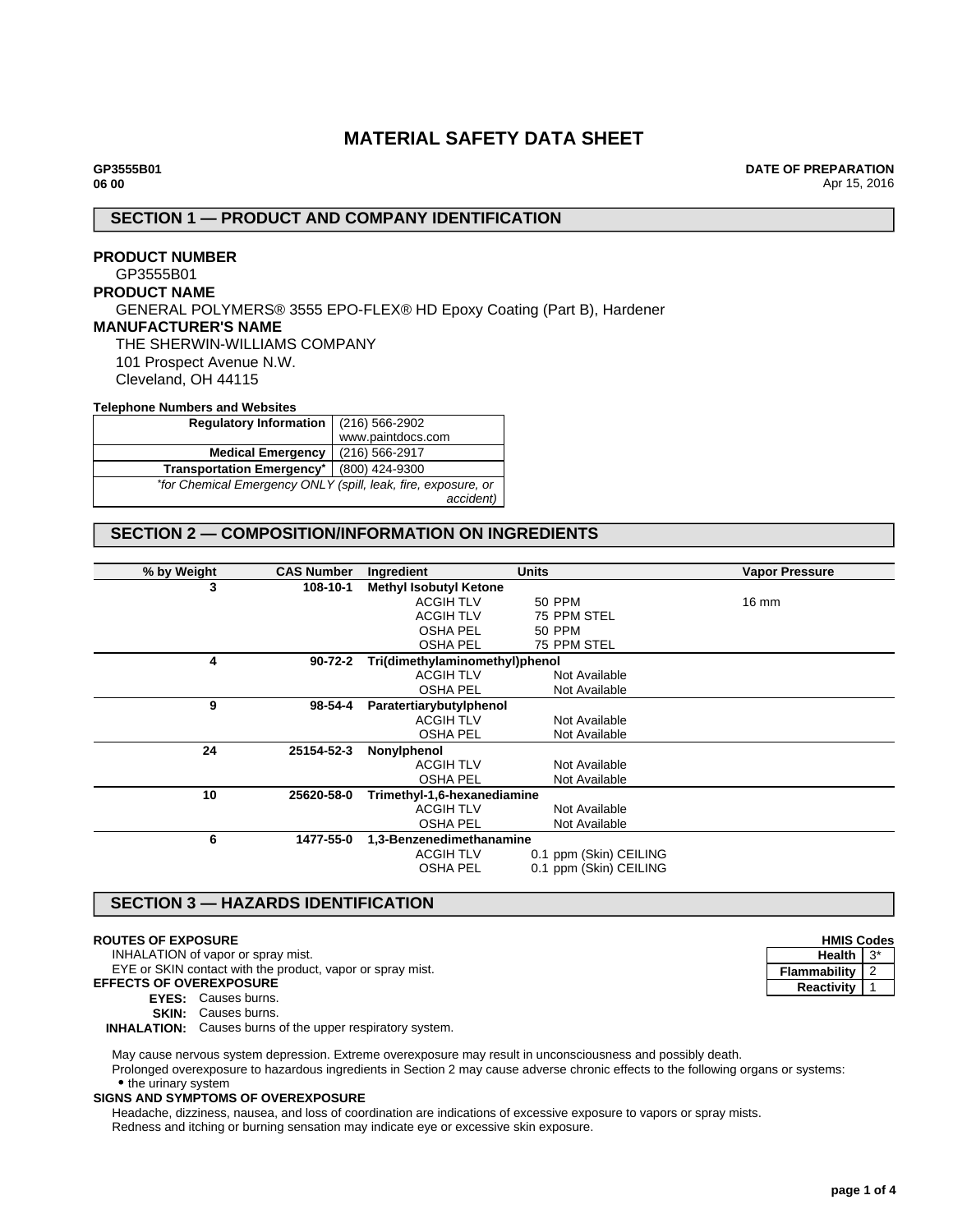# **MATERIAL SAFETY DATA SHEET**

**DATE OF PREPARATION** Apr 15, 2016

# **SECTION 1 — PRODUCT AND COMPANY IDENTIFICATION**

### **PRODUCT NUMBER** GP3555B01

### **PRODUCT NAME**

GENERAL POLYMERS® 3555 EPO-FLEX® HD Epoxy Coating (Part B), Hardener

### **MANUFACTURER'S NAME**

THE SHERWIN-WILLIAMS COMPANY 101 Prospect Avenue N.W. Cleveland, OH 44115

#### **Telephone Numbers and Websites**

| <b>Regulatory Information</b>                                 | (216) 566-2902    |  |
|---------------------------------------------------------------|-------------------|--|
|                                                               | www.paintdocs.com |  |
| <b>Medical Emergency</b>                                      | (216) 566-2917    |  |
| <b>Transportation Emergency*</b>                              | (800) 424-9300    |  |
| *for Chemical Emergency ONLY (spill, leak, fire, exposure, or |                   |  |
|                                                               | accident)         |  |

# **SECTION 2 — COMPOSITION/INFORMATION ON INGREDIENTS**

| % by Weight | <b>CAS Number</b> | Ingredient                     | <b>Units</b>           | <b>Vapor Pressure</b> |
|-------------|-------------------|--------------------------------|------------------------|-----------------------|
| 3           | 108-10-1          | <b>Methyl Isobutyl Ketone</b>  |                        |                       |
|             |                   | <b>ACGIH TLV</b>               | 50 PPM                 | $16 \text{ mm}$       |
|             |                   | <b>ACGIH TLV</b>               | 75 PPM STEL            |                       |
|             |                   | OSHA PEL                       | 50 PPM                 |                       |
|             |                   | <b>OSHA PEL</b>                | 75 PPM STEL            |                       |
| 4           | $90 - 72 - 2$     | Tri(dimethylaminomethyl)phenol |                        |                       |
|             |                   | <b>ACGIH TLV</b>               | Not Available          |                       |
|             |                   | <b>OSHA PEL</b>                | Not Available          |                       |
| 9           | 98-54-4           | Paratertiarybutylphenol        |                        |                       |
|             |                   | <b>ACGIH TLV</b>               | Not Available          |                       |
|             |                   | <b>OSHA PEL</b>                | Not Available          |                       |
| 24          | 25154-52-3        | Nonylphenol                    |                        |                       |
|             |                   | <b>ACGIH TLV</b>               | Not Available          |                       |
|             |                   | <b>OSHA PEL</b>                | Not Available          |                       |
| 10          | 25620-58-0        | Trimethyl-1,6-hexanediamine    |                        |                       |
|             |                   | <b>ACGIH TLV</b>               | Not Available          |                       |
|             |                   | <b>OSHA PEL</b>                | Not Available          |                       |
| 6           | 1477-55-0         | 1,3-Benzenedimethanamine       |                        |                       |
|             |                   | <b>ACGIH TLV</b>               | 0.1 ppm (Skin) CEILING |                       |
|             |                   | <b>OSHA PEL</b>                | 0.1 ppm (Skin) CEILING |                       |

# **SECTION 3 — HAZARDS IDENTIFICATION**

#### **ROUTES OF EXPOSURE**

INHALATION of vapor or spray mist.

EYE or SKIN contact with the product, vapor or spray mist. **EFFECTS OF OVEREXPOSURE**

# **EYES:** Causes burns.

**SKIN:** Causes burns.

**INHALATION:** Causes burns of the upper respiratory system.

May cause nervous system depression. Extreme overexposure may result in unconsciousness and possibly death. Prolonged overexposure to hazardous ingredients in Section 2 may cause adverse chronic effects to the following organs or systems: • the urinary system

#### **SIGNS AND SYMPTOMS OF OVEREXPOSURE**

Headache, dizziness, nausea, and loss of coordination are indications of excessive exposure to vapors or spray mists. Redness and itching or burning sensation may indicate eye or excessive skin exposure.

| <b>HMIS Codes</b> |  |
|-------------------|--|
| Health            |  |
| Flammability      |  |
| <b>Reactivity</b> |  |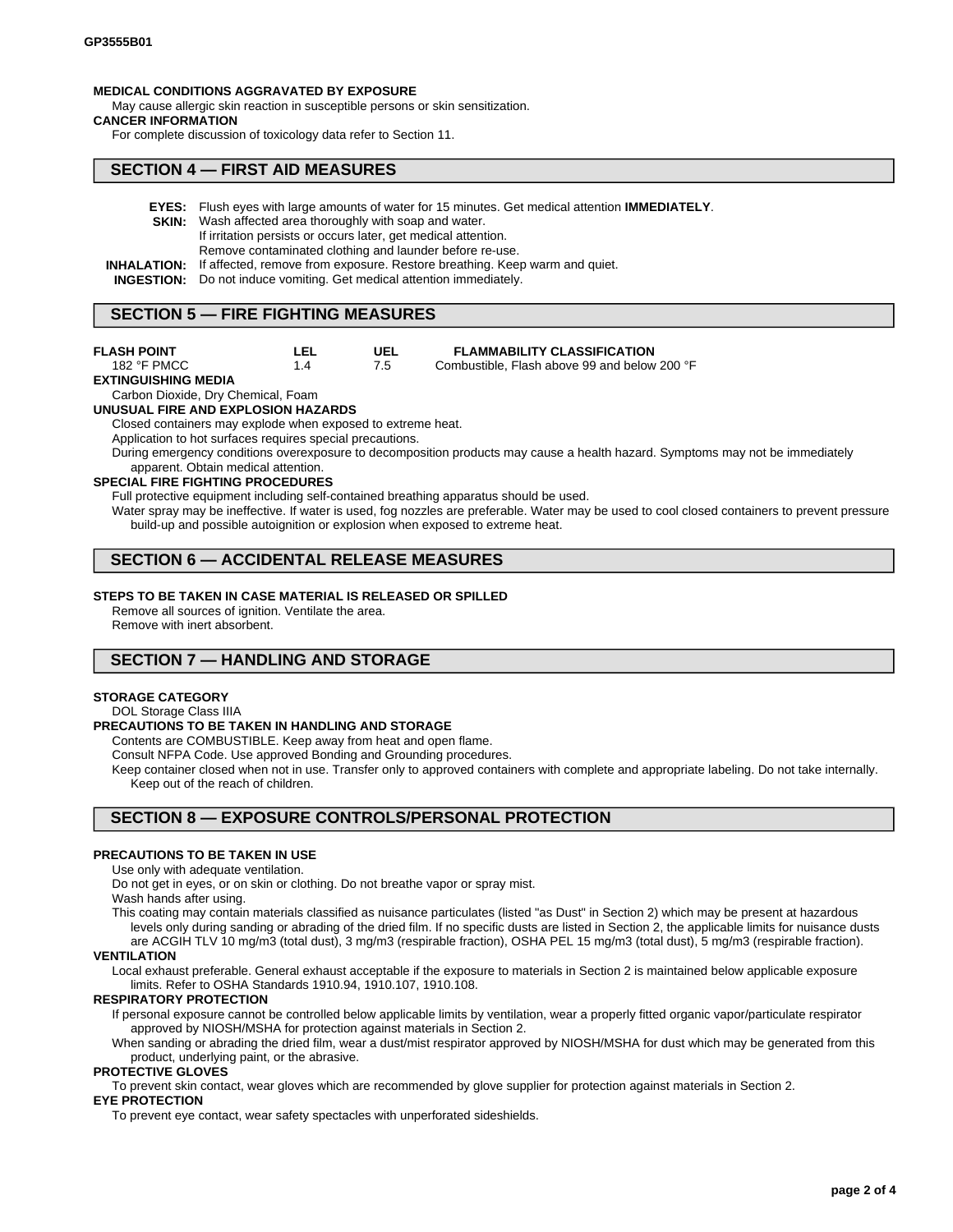#### **MEDICAL CONDITIONS AGGRAVATED BY EXPOSURE**

May cause allergic skin reaction in susceptible persons or skin sensitization.

#### **CANCER INFORMATION**

For complete discussion of toxicology data refer to Section 11.

### **SECTION 4 — FIRST AID MEASURES**

- **EYES:** Flush eyes with large amounts of water for 15 minutes. Get medical attention **IMMEDIATELY**.
- **SKIN:** Wash affected area thoroughly with soap and water.
	- If irritation persists or occurs later, get medical attention.
	- Remove contaminated clothing and launder before re-use.
- **INHALATION:** If affected, remove from exposure. Restore breathing. Keep warm and quiet.

**UEL** 7.5

**INGESTION:** Do not induce vomiting. Get medical attention immediately.

### **SECTION 5 — FIRE FIGHTING MEASURES**

#### **FLASH POINT** 182 °F PMCC

#### **LEL** 1.4

#### **FLAMMABILITY CLASSIFICATION**

Combustible, Flash above 99 and below 200 °F

#### **EXTINGUISHING MEDIA**

Carbon Dioxide, Dry Chemical, Foam

#### **UNUSUAL FIRE AND EXPLOSION HAZARDS**

Closed containers may explode when exposed to extreme heat.

Application to hot surfaces requires special precautions.

During emergency conditions overexposure to decomposition products may cause a health hazard. Symptoms may not be immediately apparent. Obtain medical attention.

### **SPECIAL FIRE FIGHTING PROCEDURES**

Full protective equipment including self-contained breathing apparatus should be used.

Water spray may be ineffective. If water is used, fog nozzles are preferable. Water may be used to cool closed containers to prevent pressure build-up and possible autoignition or explosion when exposed to extreme heat.

# **SECTION 6 — ACCIDENTAL RELEASE MEASURES**

#### **STEPS TO BE TAKEN IN CASE MATERIAL IS RELEASED OR SPILLED**

Remove all sources of ignition. Ventilate the area.

Remove with inert absorbent.

# **SECTION 7 — HANDLING AND STORAGE**

#### **STORAGE CATEGORY**

## DOL Storage Class IIIA

### **PRECAUTIONS TO BE TAKEN IN HANDLING AND STORAGE**

Contents are COMBUSTIBLE. Keep away from heat and open flame.

Consult NFPA Code. Use approved Bonding and Grounding procedures.

Keep container closed when not in use. Transfer only to approved containers with complete and appropriate labeling. Do not take internally. Keep out of the reach of children.

# **SECTION 8 — EXPOSURE CONTROLS/PERSONAL PROTECTION**

### **PRECAUTIONS TO BE TAKEN IN USE**

Use only with adequate ventilation.

Do not get in eyes, or on skin or clothing. Do not breathe vapor or spray mist.

Wash hands after using.

This coating may contain materials classified as nuisance particulates (listed "as Dust" in Section 2) which may be present at hazardous levels only during sanding or abrading of the dried film. If no specific dusts are listed in Section 2, the applicable limits for nuisance dusts are ACGIH TLV 10 mg/m3 (total dust), 3 mg/m3 (respirable fraction), OSHA PEL 15 mg/m3 (total dust), 5 mg/m3 (respirable fraction).

#### **VENTILATION**

Local exhaust preferable. General exhaust acceptable if the exposure to materials in Section 2 is maintained below applicable exposure limits. Refer to OSHA Standards 1910.94, 1910.107, 1910.108.

#### **RESPIRATORY PROTECTION**

If personal exposure cannot be controlled below applicable limits by ventilation, wear a properly fitted organic vapor/particulate respirator approved by NIOSH/MSHA for protection against materials in Section 2.

When sanding or abrading the dried film, wear a dust/mist respirator approved by NIOSH/MSHA for dust which may be generated from this product, underlying paint, or the abrasive.

#### **PROTECTIVE GLOVES**

To prevent skin contact, wear gloves which are recommended by glove supplier for protection against materials in Section 2.

### **EYE PROTECTION**

To prevent eye contact, wear safety spectacles with unperforated sideshields.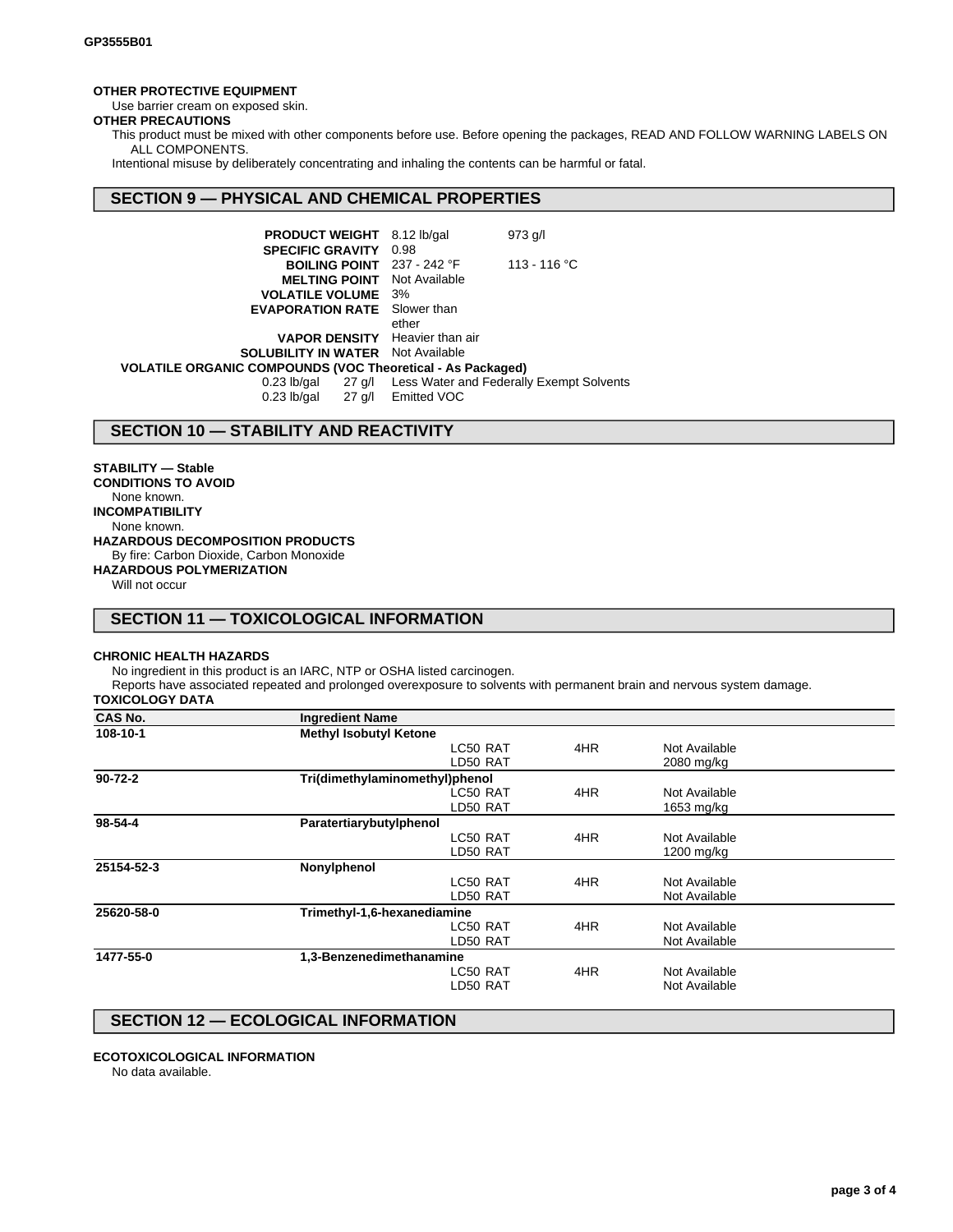### **OTHER PROTECTIVE EQUIPMENT**

Use barrier cream on exposed skin.

# **OTHER PRECAUTIONS**

This product must be mixed with other components before use. Before opening the packages, READ AND FOLLOW WARNING LABELS ON ALL COMPONENTS.

Intentional misuse by deliberately concentrating and inhaling the contents can be harmful or fatal.

# **SECTION 9 — PHYSICAL AND CHEMICAL PROPERTIES**

| <b>PRODUCT WEIGHT</b> 8.12 lb/gal                                 |       | $973$ g/l                                                   |
|-------------------------------------------------------------------|-------|-------------------------------------------------------------|
| <b>SPECIFIC GRAVITY 0.98</b>                                      |       |                                                             |
| <b>BOILING POINT</b> $237 - 242$ °F                               |       | 113 - 116 °C                                                |
| <b>MELTING POINT</b> Not Available                                |       |                                                             |
| <b>VOLATILE VOLUME</b> 3%                                         |       |                                                             |
| <b>EVAPORATION RATE</b> Slower than                               |       |                                                             |
|                                                                   | ether |                                                             |
| <b>VAPOR DENSITY</b> Heavier than air                             |       |                                                             |
| <b>SOLUBILITY IN WATER</b> Not Available                          |       |                                                             |
| <b>VOLATILE ORGANIC COMPOUNDS (VOC Theoretical - As Packaged)</b> |       |                                                             |
|                                                                   |       | 0.23 lb/gal 27 g/l Less Water and Federally Exempt Solvents |
| 0.23 lb/gal 27 g/l Emitted VOC                                    |       |                                                             |

# **SECTION 10 — STABILITY AND REACTIVITY**

**STABILITY — Stable CONDITIONS TO AVOID** None known. **INCOMPATIBILITY** None known. **HAZARDOUS DECOMPOSITION PRODUCTS** By fire: Carbon Dioxide, Carbon Monoxide **HAZARDOUS POLYMERIZATION**

Will not occur

# **SECTION 11 — TOXICOLOGICAL INFORMATION**

### **CHRONIC HEALTH HAZARDS**

No ingredient in this product is an IARC, NTP or OSHA listed carcinogen.

Reports have associated repeated and prolonged overexposure to solvents with permanent brain and nervous system damage.

# **TOXICOLOGY DATA**

| <b>CAS No.</b> | <b>Ingredient Name</b>         |     |               |  |
|----------------|--------------------------------|-----|---------------|--|
| 108-10-1       | <b>Methyl Isobutyl Ketone</b>  |     |               |  |
|                | LC50 RAT                       | 4HR | Not Available |  |
|                | LD50 RAT                       |     | 2080 mg/kg    |  |
| $90 - 72 - 2$  | Tri(dimethylaminomethyl)phenol |     |               |  |
|                | LC50 RAT                       | 4HR | Not Available |  |
|                | LD50 RAT                       |     | 1653 mg/kg    |  |
| $98 - 54 - 4$  | Paratertiarybutylphenol        |     |               |  |
|                | LC50 RAT                       | 4HR | Not Available |  |
|                | LD50 RAT                       |     | 1200 mg/kg    |  |
| 25154-52-3     | Nonylphenol                    |     |               |  |
|                | LC50 RAT                       | 4HR | Not Available |  |
|                | LD50 RAT                       |     | Not Available |  |
| 25620-58-0     | Trimethyl-1,6-hexanediamine    |     |               |  |
|                | LC50 RAT                       | 4HR | Not Available |  |
|                | LD50 RAT                       |     | Not Available |  |
| 1477-55-0      | 1,3-Benzenedimethanamine       |     |               |  |
|                | LC50 RAT                       | 4HR | Not Available |  |
|                | LD50 RAT                       |     | Not Available |  |
|                |                                |     |               |  |

# **SECTION 12 — ECOLOGICAL INFORMATION**

#### **ECOTOXICOLOGICAL INFORMATION**

No data available.

**page 3 of 4**